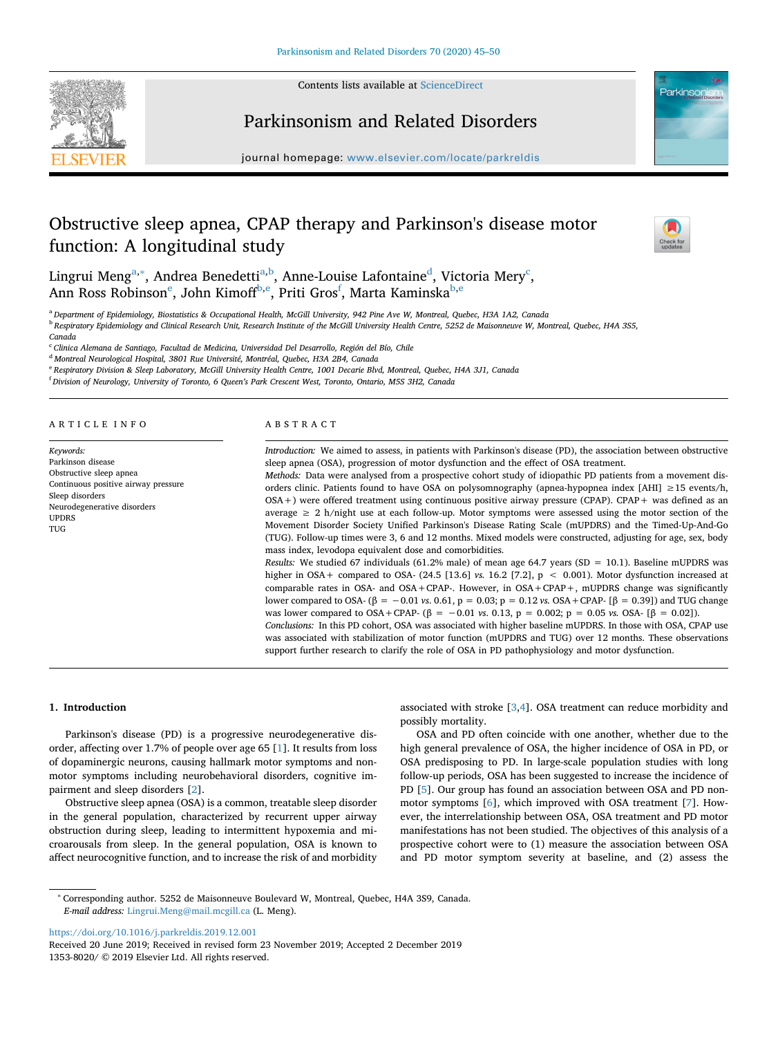

Contents lists available at [ScienceDirect](http://www.sciencedirect.com/science/journal/13538020)

# Parkinso

# Parkinsonism and Related Disorders

journal homepage: [www.elsevier.com/locate/parkreldis](https://www.elsevier.com/locate/parkreldis)

# Obstructive sleep apnea, CPAP therapy and Parkinson's disease motor function: A longitudinal study



Lingrui Meng<sup>[a,](#page-0-0)[∗](#page-0-1)</sup>, Andrea Benedetti<sup>a,b</sup>, Anne-Louise Lafontaine<sup>d</sup>, Victor[ia](#page-0-0) Mery<sup>[c](#page-0-4)</sup>, Ann Ross Ro[b](#page-0-2)inson $^{\rm e}$ , John Kimoff<sup>b[,e](#page-0-5)</sup>, Priti Gros<sup>[f](#page-0-6)</sup>, Marta Kaminska<sup>b,e</sup>

<span id="page-0-2"></span><span id="page-0-0"></span><sup>a</sup> *Department of Epidemiology, Biostatistics & Occupational Health, McGill University, 942 Pine Ave W, Montreal, Quebec, H3A 1A2, Canada* <sup>b</sup> *Respiratory Epidemiology and Clinical Research Unit, Research Institute of the McGill University Health Centre, 5252 de Maisonneuve W, Montreal, Quebec, H4A 3S5,*

*Canada*

<span id="page-0-4"></span><sup>c</sup> *Clinica Alemana de Santiago, Facultad de Medicina, Universidad Del Desarrollo, Región del Bío, Chile*

<span id="page-0-3"></span><sup>d</sup> *Montreal Neurological Hospital, 3801 Rue Université, Montréal, Quebec, H3A 2B4, Canada*

<span id="page-0-5"></span><sup>e</sup> *Respiratory Division & Sleep Laboratory, McGill University Health Centre, 1001 Decarie Blvd, Montreal, Quebec, H4A 3J1, Canada*

<span id="page-0-6"></span>f *Division of Neurology, University of Toronto, 6 Queen's Park Crescent West, Toronto, Ontario, M5S 3H2, Canada*

# ARTICLE INFO

*Keywords:* Parkinson disease Obstructive sleep apnea Continuous positive airway pressure Sleep disorders Neurodegenerative disorders UPDRS TUG

#### ABSTRACT

*Introduction:* We aimed to assess, in patients with Parkinson's disease (PD), the association between obstructive sleep apnea (OSA), progression of motor dysfunction and the effect of OSA treatment. *Methods:* Data were analysed from a prospective cohort study of idiopathic PD patients from a movement disorders clinic. Patients found to have OSA on polysomnography (apnea-hypopnea index [AHI] ≥15 events/h, OSA+) were offered treatment using continuous positive airway pressure (CPAP). CPAP+ was defined as an average ≥ 2 h/night use at each follow-up. Motor symptoms were assessed using the motor section of the Movement Disorder Society Unified Parkinson's Disease Rating Scale (mUPDRS) and the Timed-Up-And-Go (TUG). Follow-up times were 3, 6 and 12 months. Mixed models were constructed, adjusting for age, sex, body mass index, levodopa equivalent dose and comorbidities. *Results:* We studied 67 individuals (61.2% male) of mean age 64.7 years (SD = 10.1). Baseline mUPDRS was higher in OSA+ compared to OSA- (24.5 [13.6] *vs.* 16.2 [7.2], p < 0.001). Motor dysfunction increased at comparable rates in OSA- and OSA+CPAP-. However, in  $OSA+CPAP+$ , mUPDRS change was significantly lower compared to OSA- (β = −0.01 *vs*. 0.61, p = 0.03; p = 0.12 *vs.* OSA+CPAP- [β = 0.39]) and TUG change was lower compared to OSA+CPAP- (β = −0.01 *vs*. 0.13, p = 0.002; p = 0.05 *vs.* OSA- [β = 0.02]). *Conclusions:* In this PD cohort, OSA was associated with higher baseline mUPDRS. In those with OSA, CPAP use

was associated with stabilization of motor function (mUPDRS and TUG) over 12 months. These observations support further research to clarify the role of OSA in PD pathophysiology and motor dysfunction.

### **1. Introduction**

Parkinson's disease (PD) is a progressive neurodegenerative disorder, affecting over 1.7% of people over age 65 [\[1\]](#page-5-0). It results from loss of dopaminergic neurons, causing hallmark motor symptoms and nonmotor symptoms including neurobehavioral disorders, cognitive impairment and sleep disorders [[2](#page-5-1)].

Obstructive sleep apnea (OSA) is a common, treatable sleep disorder in the general population, characterized by recurrent upper airway obstruction during sleep, leading to intermittent hypoxemia and microarousals from sleep. In the general population, OSA is known to affect neurocognitive function, and to increase the risk of and morbidity

associated with stroke [\[3,](#page-5-2)[4\]](#page-5-3). OSA treatment can reduce morbidity and possibly mortality.

OSA and PD often coincide with one another, whether due to the high general prevalence of OSA, the higher incidence of OSA in PD, or OSA predisposing to PD. In large-scale population studies with long follow-up periods, OSA has been suggested to increase the incidence of PD [[5](#page-5-4)]. Our group has found an association between OSA and PD nonmotor symptoms [[6](#page-5-5)], which improved with OSA treatment [\[7\]](#page-5-6). However, the interrelationship between OSA, OSA treatment and PD motor manifestations has not been studied. The objectives of this analysis of a prospective cohort were to (1) measure the association between OSA and PD motor symptom severity at baseline, and (2) assess the

<https://doi.org/10.1016/j.parkreldis.2019.12.001>

<span id="page-0-1"></span><sup>∗</sup> Corresponding author. 5252 de Maisonneuve Boulevard W, Montreal, Quebec, H4A 3S9, Canada. *E-mail address:* [Lingrui.Meng@mail.mcgill.ca](mailto:Lingrui.Meng@mail.mcgill.ca) (L. Meng).

Received 20 June 2019; Received in revised form 23 November 2019; Accepted 2 December 2019 1353-8020/ © 2019 Elsevier Ltd. All rights reserved.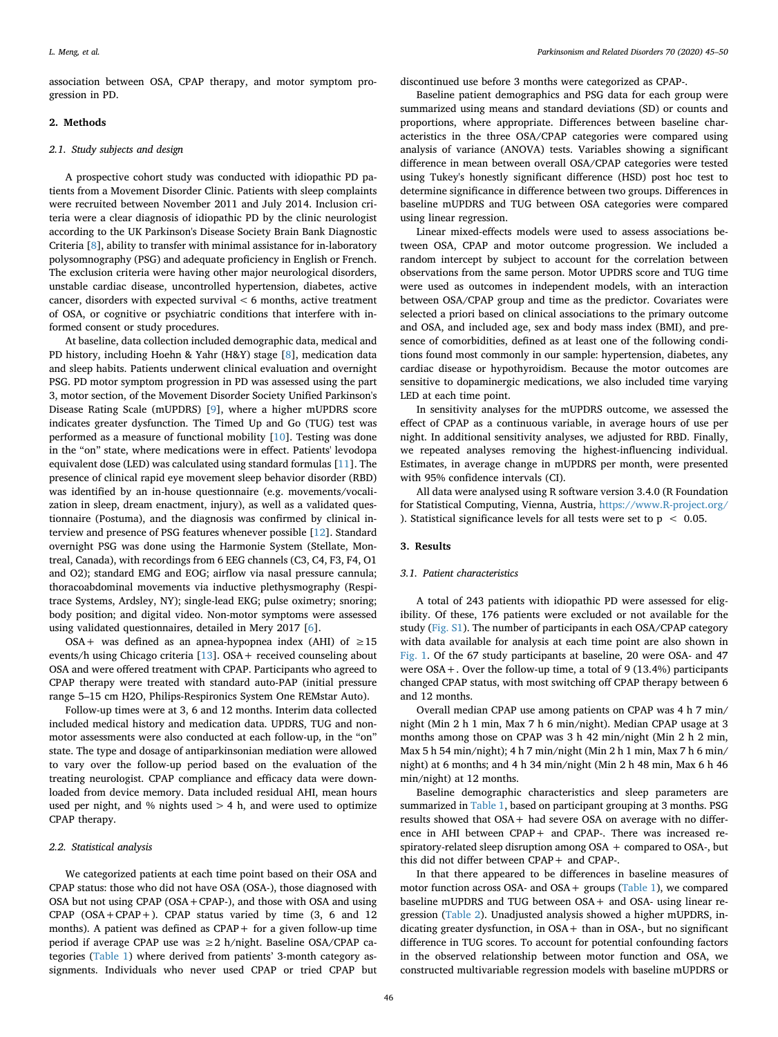association between OSA, CPAP therapy, and motor symptom progression in PD.

# **2. Methods**

### *2.1. Study subjects and design*

A prospective cohort study was conducted with idiopathic PD patients from a Movement Disorder Clinic. Patients with sleep complaints were recruited between November 2011 and July 2014. Inclusion criteria were a clear diagnosis of idiopathic PD by the clinic neurologist according to the UK Parkinson's Disease Society Brain Bank Diagnostic Criteria [[8](#page-5-7)], ability to transfer with minimal assistance for in-laboratory polysomnography (PSG) and adequate proficiency in English or French. The exclusion criteria were having other major neurological disorders, unstable cardiac disease, uncontrolled hypertension, diabetes, active cancer, disorders with expected survival < 6 months, active treatment of OSA, or cognitive or psychiatric conditions that interfere with informed consent or study procedures.

At baseline, data collection included demographic data, medical and PD history, including Hoehn & Yahr (H&Y) stage [[8](#page-5-7)], medication data and sleep habits. Patients underwent clinical evaluation and overnight PSG. PD motor symptom progression in PD was assessed using the part 3, motor section, of the Movement Disorder Society Unified Parkinson's Disease Rating Scale (mUPDRS) [\[9\]](#page-5-8), where a higher mUPDRS score indicates greater dysfunction. The Timed Up and Go (TUG) test was performed as a measure of functional mobility [[10\]](#page-5-9). Testing was done in the "on" state, where medications were in effect. Patients' levodopa equivalent dose (LED) was calculated using standard formulas [[11\]](#page-5-10). The presence of clinical rapid eye movement sleep behavior disorder (RBD) was identified by an in-house questionnaire (e.g. movements/vocalization in sleep, dream enactment, injury), as well as a validated questionnaire (Postuma), and the diagnosis was confirmed by clinical interview and presence of PSG features whenever possible [\[12](#page-5-11)]. Standard overnight PSG was done using the Harmonie System (Stellate, Montreal, Canada), with recordings from 6 EEG channels (C3, C4, F3, F4, O1 and O2); standard EMG and EOG; airflow via nasal pressure cannula; thoracoabdominal movements via inductive plethysmography (Respitrace Systems, Ardsley, NY); single-lead EKG; pulse oximetry; snoring; body position; and digital video. Non-motor symptoms were assessed using validated questionnaires, detailed in Mery 2017 [[6](#page-5-5)].

OSA+ was defined as an apnea-hypopnea index (AHI) of  $\geq 15$ events/h using Chicago criteria  $[13]$  $[13]$ . OSA + received counseling about OSA and were offered treatment with CPAP. Participants who agreed to CPAP therapy were treated with standard auto-PAP (initial pressure range 5–15 cm H2O, Philips-Respironics System One REMstar Auto).

Follow-up times were at 3, 6 and 12 months. Interim data collected included medical history and medication data. UPDRS, TUG and nonmotor assessments were also conducted at each follow-up, in the "on" state. The type and dosage of antiparkinsonian mediation were allowed to vary over the follow-up period based on the evaluation of the treating neurologist. CPAP compliance and efficacy data were downloaded from device memory. Data included residual AHI, mean hours used per night, and % nights used  $> 4$  h, and were used to optimize CPAP therapy.

# *2.2. Statistical analysis*

We categorized patients at each time point based on their OSA and CPAP status: those who did not have OSA (OSA-), those diagnosed with OSA but not using CPAP (OSA+CPAP-), and those with OSA and using CPAP  $(OSA + CPAP +)$ . CPAP status varied by time  $(3, 6, 12)$ months). A patient was defined as  $CPAP +$  for a given follow-up time period if average CPAP use was ≥2 h/night. Baseline OSA/CPAP categories [\(Table 1\)](#page-2-0) where derived from patients' 3-month category assignments. Individuals who never used CPAP or tried CPAP but discontinued use before 3 months were categorized as CPAP-.

Baseline patient demographics and PSG data for each group were summarized using means and standard deviations (SD) or counts and proportions, where appropriate. Differences between baseline characteristics in the three OSA/CPAP categories were compared using analysis of variance (ANOVA) tests. Variables showing a significant difference in mean between overall OSA/CPAP categories were tested using Tukey's honestly significant difference (HSD) post hoc test to determine significance in difference between two groups. Differences in baseline mUPDRS and TUG between OSA categories were compared using linear regression.

Linear mixed-effects models were used to assess associations between OSA, CPAP and motor outcome progression. We included a random intercept by subject to account for the correlation between observations from the same person. Motor UPDRS score and TUG time were used as outcomes in independent models, with an interaction between OSA/CPAP group and time as the predictor. Covariates were selected a priori based on clinical associations to the primary outcome and OSA, and included age, sex and body mass index (BMI), and presence of comorbidities, defined as at least one of the following conditions found most commonly in our sample: hypertension, diabetes, any cardiac disease or hypothyroidism. Because the motor outcomes are sensitive to dopaminergic medications, we also included time varying LED at each time point.

In sensitivity analyses for the mUPDRS outcome, we assessed the effect of CPAP as a continuous variable, in average hours of use per night. In additional sensitivity analyses, we adjusted for RBD. Finally, we repeated analyses removing the highest-influencing individual. Estimates, in average change in mUPDRS per month, were presented with 95% confidence intervals (CI).

All data were analysed using R software version 3.4.0 (R Foundation for Statistical Computing, Vienna, Austria, <https://www.R-project.org/> ). Statistical significance levels for all tests were set to  $p < 0.05$ .

### **3. Results**

# *3.1. Patient characteristics*

A total of 243 patients with idiopathic PD were assessed for eligibility. Of these, 176 patients were excluded or not available for the study (Fig. S1). The number of participants in each OSA/CPAP category with data available for analysis at each time point are also shown in [Fig. 1](#page-3-0). Of the 67 study participants at baseline, 20 were OSA- and 47 were OSA+. Over the follow-up time, a total of 9 (13.4%) participants changed CPAP status, with most switching off CPAP therapy between 6 and 12 months.

Overall median CPAP use among patients on CPAP was 4 h 7 min/ night (Min 2 h 1 min, Max 7 h 6 min/night). Median CPAP usage at 3 months among those on CPAP was 3 h 42 min/night (Min 2 h 2 min, Max 5 h 54 min/night); 4 h 7 min/night (Min 2 h 1 min, Max 7 h 6 min/ night) at 6 months; and 4 h 34 min/night (Min 2 h 48 min, Max 6 h 46 min/night) at 12 months.

Baseline demographic characteristics and sleep parameters are summarized in [Table 1](#page-2-0), based on participant grouping at 3 months. PSG results showed that OSA+ had severe OSA on average with no difference in AHI between CPAP+ and CPAP-. There was increased respiratory-related sleep disruption among OSA + compared to OSA-, but this did not differ between CPAP+ and CPAP-.

In that there appeared to be differences in baseline measures of motor function across OSA- and OSA+ groups [\(Table 1\)](#page-2-0), we compared baseline mUPDRS and TUG between OSA+ and OSA- using linear regression [\(Table 2\)](#page-3-1). Unadjusted analysis showed a higher mUPDRS, indicating greater dysfunction, in OSA+ than in OSA-, but no significant difference in TUG scores. To account for potential confounding factors in the observed relationship between motor function and OSA, we constructed multivariable regression models with baseline mUPDRS or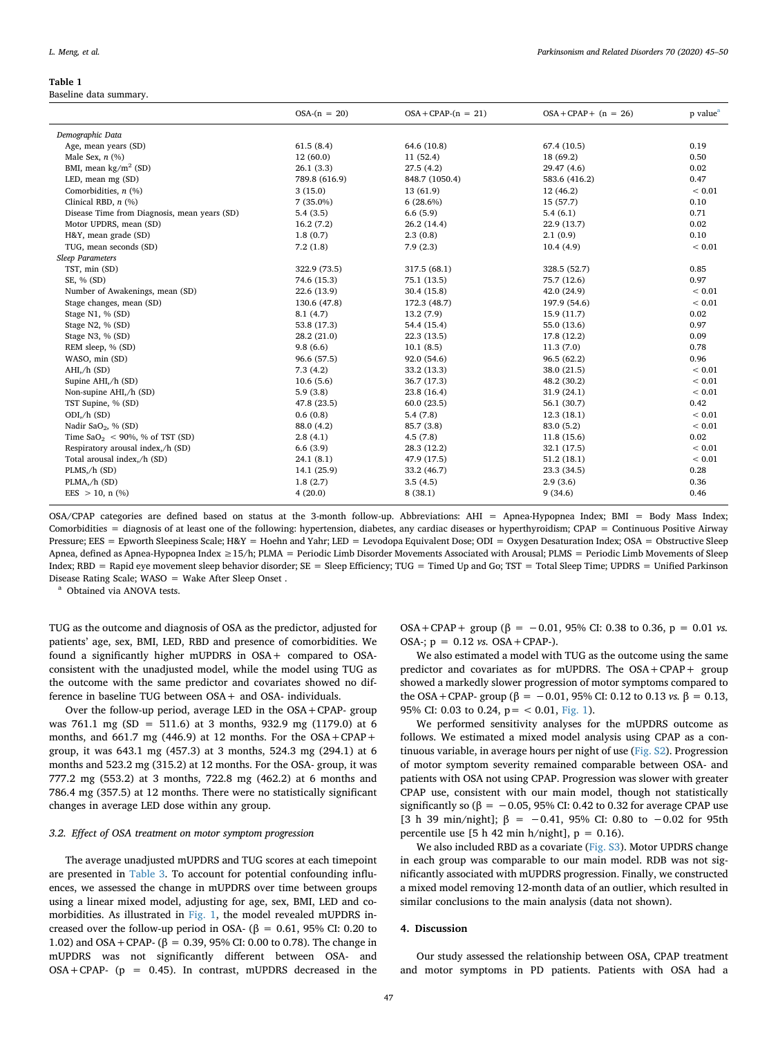#### <span id="page-2-0"></span>**Table 1**

Baseline data summary.

|                                              | $OSA-(n = 20)$ | $OSA + CPAP-(n = 21)$ | $OSA + CPAP + (n = 26)$ | p value <sup>a</sup> |
|----------------------------------------------|----------------|-----------------------|-------------------------|----------------------|
| Demographic Data                             |                |                       |                         |                      |
| Age, mean years (SD)                         | 61.5(8.4)      | 64.6 (10.8)           | 67.4 (10.5)             | 0.19                 |
| Male Sex, $n$ (%)                            | 12(60.0)       | 11(52.4)              | 18 (69.2)               | 0.50                 |
| BMI, mean $\text{kg/m}^2$ (SD)               | 26.1(3.3)      | 27.5(4.2)             | 29.47 (4.6)             | 0.02                 |
| LED, mean mg (SD)                            | 789.8 (616.9)  | 848.7 (1050.4)        | 583.6 (416.2)           | 0.47                 |
| Comorbidities, $n$ (%)                       | 3(15.0)        | 13(61.9)              | 12(46.2)                | ${}< 0.01$           |
| Clinical RBD, $n$ (%)                        | $7(35.0\%)$    | $6(28.6\%)$           | 15 (57.7)               | 0.10                 |
| Disease Time from Diagnosis, mean years (SD) | 5.4(3.5)       | 6.6(5.9)              | 5.4(6.1)                | 0.71                 |
| Motor UPDRS, mean (SD)                       | 16.2(7.2)      | 26.2(14.4)            | 22.9 (13.7)             | 0.02                 |
| H&Y, mean grade (SD)                         | 1.8(0.7)       | 2.3(0.8)              | 2.1(0.9)                | 0.10                 |
| TUG, mean seconds (SD)                       | 7.2(1.8)       | 7.9(2.3)              | 10.4(4.9)               | ${}< 0.01$           |
| <b>Sleep Parameters</b>                      |                |                       |                         |                      |
| TST, min (SD)                                | 322.9 (73.5)   | 317.5 (68.1)          | 328.5 (52.7)            | 0.85                 |
| SE, % (SD)                                   | 74.6 (15.3)    | 75.1 (13.5)           | 75.7 (12.6)             | 0.97                 |
| Number of Awakenings, mean (SD)              | 22.6 (13.9)    | 30.4(15.8)            | 42.0 (24.9)             | ${}< 0.01$           |
| Stage changes, mean (SD)                     | 130.6 (47.8)   | 172.3 (48.7)          | 197.9 (54.6)            | ${}< 0.01$           |
| Stage N1, % (SD)                             | 8.1(4.7)       | 13.2(7.9)             | 15.9 (11.7)             | 0.02                 |
| Stage N2, % (SD)                             | 53.8 (17.3)    | 54.4 (15.4)           | 55.0 (13.6)             | 0.97                 |
| Stage N3, % (SD)                             | 28.2(21.0)     | 22.3(13.5)            | 17.8 (12.2)             | 0.09                 |
| REM sleep, % (SD)                            | 9.8(6.6)       | 10.1(8.5)             | 11.3(7.0)               | 0.78                 |
| WASO, min (SD)                               | 96.6 (57.5)    | 92.0 (54.6)           | 96.5(62.2)              | 0.96                 |
| $AHI$ , $/h$ (SD)                            | 7.3(4.2)       | 33.2 (13.3)           | 38.0 (21.5)             | ${}< 0.01$           |
| Supine AHI,/h (SD)                           | 10.6(5.6)      | 36.7 (17.3)           | 48.2 (30.2)             | ${}< 0.01$           |
| Non-supine AHI,/h (SD)                       | 5.9(3.8)       | 23.8 (16.4)           | 31.9 (24.1)             | ${}< 0.01$           |
| TST Supine, % (SD)                           | 47.8 (23.5)    | 60.0(23.5)            | 56.1 (30.7)             | 0.42                 |
| $ODI$ , $/h$ $(SD)$                          | 0.6(0.8)       | 5.4(7.8)              | 12.3(18.1)              | ${}< 0.01$           |
| Nadir SaO <sub>2</sub> , % (SD)              | 88.0 (4.2)     | 85.7 (3.8)            | 83.0 (5.2)              | ${}< 0.01$           |
| Time $\text{SaO}_2$ < 90%, % of TST (SD)     | 2.8(4.1)       | 4.5(7.8)              | 11.8(15.6)              | 0.02                 |
| Respiratory arousal index,/h (SD)            | 6.6(3.9)       | 28.3 (12.2)           | 32.1 (17.5)             | ${}< 0.01$           |
| Total arousal index,/h (SD)                  | 24.1(8.1)      | 47.9 (17.5)           | 51.2(18.1)              | ${}< 0.01$           |
| PLMS,/h (SD)                                 | 14.1 (25.9)    | 33.2 (46.7)           | 23.3 (34.5)             | 0.28                 |
| PLMA, /h (SD)                                | 1.8(2.7)       | 3.5(4.5)              | 2.9(3.6)                | 0.36                 |
| EES $> 10$ , n $(\% )$                       | 4(20.0)        | 8(38.1)               | 9(34.6)                 | 0.46                 |

OSA/CPAP categories are defined based on status at the 3-month follow-up. Abbreviations: AHI = Apnea-Hypopnea Index; BMI = Body Mass Index; Comorbidities = diagnosis of at least one of the following: hypertension, diabetes, any cardiac diseases or hyperthyroidism; CPAP = Continuous Positive Airway Pressure; EES = Epworth Sleepiness Scale; H&Y = Hoehn and Yahr; LED = Levodopa Equivalent Dose; ODI = Oxygen Desaturation Index; OSA = Obstructive Sleep Apnea, defined as Apnea-Hypopnea Index ≥15/h; PLMA = Periodic Limb Disorder Movements Associated with Arousal; PLMS = Periodic Limb Movements of Sleep Index; RBD = Rapid eye movement sleep behavior disorder; SE = Sleep Efficiency; TUG = Timed Up and Go; TST = Total Sleep Time; UPDRS = Unified Parkinson Disease Rating Scale; WASO = Wake After Sleep Onset .

<span id="page-2-1"></span><sup>a</sup> Obtained via ANOVA tests.

TUG as the outcome and diagnosis of OSA as the predictor, adjusted for patients' age, sex, BMI, LED, RBD and presence of comorbidities. We found a significantly higher mUPDRS in OSA+ compared to OSAconsistent with the unadjusted model, while the model using TUG as the outcome with the same predictor and covariates showed no difference in baseline TUG between OSA+ and OSA- individuals.

Over the follow-up period, average LED in the OSA+CPAP- group was 761.1 mg (SD = 511.6) at 3 months, 932.9 mg (1179.0) at 6 months, and 661.7 mg (446.9) at 12 months. For the  $OSA + CPAP +$ group, it was 643.1 mg (457.3) at 3 months, 524.3 mg (294.1) at 6 months and 523.2 mg (315.2) at 12 months. For the OSA- group, it was 777.2 mg (553.2) at 3 months, 722.8 mg (462.2) at 6 months and 786.4 mg (357.5) at 12 months. There were no statistically significant changes in average LED dose within any group.

#### *3.2. Effect of OSA treatment on motor symptom progression*

The average unadjusted mUPDRS and TUG scores at each timepoint are presented in [Table 3](#page-3-2). To account for potential confounding influences, we assessed the change in mUPDRS over time between groups using a linear mixed model, adjusting for age, sex, BMI, LED and comorbidities. As illustrated in [Fig. 1](#page-3-0), the model revealed mUPDRS increased over the follow-up period in OSA- ( $\beta$  = 0.61, 95% CI: 0.20 to 1.02) and OSA + CPAP- (β = 0.39, 95% CI: 0.00 to 0.78). The change in mUPDRS was not significantly different between OSA- and  $OSA + CPAP - (p = 0.45)$ . In contrast, mUPDRS decreased in the

 $OSA + CPAP +$  group ( $\beta = -0.01$ , 95% CI: 0.38 to 0.36,  $p = 0.01$  *vs.* OSA-;  $p = 0.12$  *vs.* OSA + CPAP-).

We also estimated a model with TUG as the outcome using the same predictor and covariates as for mUPDRS. The OSA+CPAP+ group showed a markedly slower progression of motor symptoms compared to the OSA + CPAP- group ( $β = -0.01$ , 95% CI: 0.12 to 0.13 *vs*.  $β = 0.13$ , 95% CI: 0.03 to 0.24,  $p = < 0.01$ , [Fig. 1\)](#page-3-0).

We performed sensitivity analyses for the mUPDRS outcome as follows. We estimated a mixed model analysis using CPAP as a continuous variable, in average hours per night of use (Fig. S2). Progression of motor symptom severity remained comparable between OSA- and patients with OSA not using CPAP. Progression was slower with greater CPAP use, consistent with our main model, though not statistically significantly so ( $\beta = -0.05$ , 95% CI: 0.42 to 0.32 for average CPAP use [3 h 39 min/night]; β = −0.41, 95% CI: 0.80 to −0.02 for 95th percentile use  $[5 h 42 min h/night]$ ,  $p = 0.16$ .

We also included RBD as a covariate (Fig. S3). Motor UPDRS change in each group was comparable to our main model. RDB was not significantly associated with mUPDRS progression. Finally, we constructed a mixed model removing 12-month data of an outlier, which resulted in similar conclusions to the main analysis (data not shown).

### **4. Discussion**

Our study assessed the relationship between OSA, CPAP treatment and motor symptoms in PD patients. Patients with OSA had a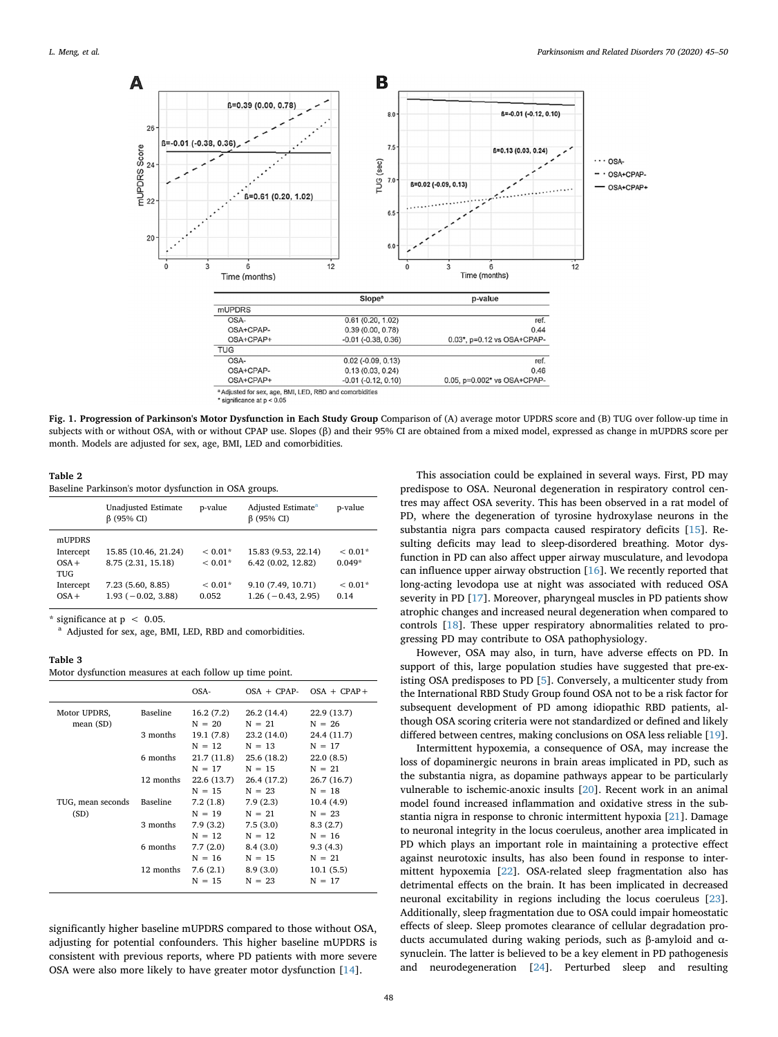<span id="page-3-0"></span>

significance at  $p < 0.05$ 

**Fig. 1. Progression of Parkinson's Motor Dysfunction in Each Study Group** Comparison of (A) average motor UPDRS score and (B) TUG over follow-up time in subjects with or without OSA, with or without CPAP use. Slopes (β) and their 95% CI are obtained from a mixed model, expressed as change in mUPDRS score per month. Models are adjusted for sex, age, BMI, LED and comorbidities.

<span id="page-3-1"></span>

Baseline Parkinson's motor dysfunction in OSA groups.

|           | <b>Unadjusted Estimate</b><br>$\beta$ (95% CI) | p-value   | Adjusted Estimate <sup>a</sup><br>$\beta$ (95% CI) | p-value   |
|-----------|------------------------------------------------|-----------|----------------------------------------------------|-----------|
| mUPDRS    |                                                |           |                                                    |           |
| Intercept | 15.85 (10.46, 21.24)                           | $< 0.01*$ | 15.83 (9.53, 22.14)                                | $< 0.01*$ |
| $OSA +$   | 8.75 (2.31, 15.18)                             | $< 0.01*$ | 6.42(0.02, 12.82)                                  | $0.049*$  |
| TUG       |                                                |           |                                                    |           |
| Intercept | 7.23(5.60, 8.85)                               | $< 0.01*$ | 9.10 (7.49, 10.71)                                 | $< 0.01*$ |
| $OSA +$   | $1.93(-0.02, 3.88)$                            | 0.052     | $1.26(-0.43, 2.95)$                                | 0.14      |
|           |                                                |           |                                                    |           |

\* significance at  $p < 0.05$ .

<span id="page-3-3"></span><sup>a</sup> Adjusted for sex, age, BMI, LED, RBD and comorbidities.

# <span id="page-3-2"></span>**Table 3**

Motor dysfunction measures at each follow up time point.

| Baseline          | 16.2(7.2)   | 26.2(14.4)  | 22.9 (13.7) |
|-------------------|-------------|-------------|-------------|
|                   | $N = 20$    | $N = 21$    | $N = 26$    |
| 3 months          | 19.1 (7.8)  | 23.2 (14.0) | 24.4 (11.7) |
|                   | $N = 12$    | $N = 13$    | $N = 17$    |
| 6 months          | 21.7 (11.8) | 25.6 (18.2) | 22.0(8.5)   |
|                   | $N = 17$    | $N = 15$    | $N = 21$    |
| 12 months         | 22.6 (13.7) | 26.4 (17.2) | 26.7 (16.7) |
|                   | $N = 15$    | $N = 23$    | $N = 18$    |
| Baseline          | 7.2(1.8)    | 7.9(2.3)    | 10.4(4.9)   |
| TUG, mean seconds | $N = 19$    | $N = 21$    | $N = 23$    |
| 3 months          | 7.9(3.2)    | 7.5(3.0)    | 8.3(2.7)    |
|                   | $N = 12$    | $N = 12$    | $N = 16$    |
| 6 months          | 7.7(2.0)    | 8.4(3.0)    | 9.3(4.3)    |
|                   | $N = 16$    | $N = 15$    | $N = 21$    |
| 12 months         | 7.6(2.1)    | 8.9(3.0)    | 10.1(5.5)   |
|                   | $N = 15$    | $N = 23$    | $N = 17$    |
|                   |             |             |             |

significantly higher baseline mUPDRS compared to those without OSA, adjusting for potential confounders. This higher baseline mUPDRS is consistent with previous reports, where PD patients with more severe OSA were also more likely to have greater motor dysfunction [[14\]](#page-5-13).

This association could be explained in several ways. First, PD may predispose to OSA. Neuronal degeneration in respiratory control centres may affect OSA severity. This has been observed in a rat model of PD, where the degeneration of tyrosine hydroxylase neurons in the substantia nigra pars compacta caused respiratory deficits [[15\]](#page-5-14). Resulting deficits may lead to sleep-disordered breathing. Motor dysfunction in PD can also affect upper airway musculature, and levodopa can influence upper airway obstruction [\[16](#page-5-15)]. We recently reported that long-acting levodopa use at night was associated with reduced OSA severity in PD [\[17](#page-5-16)]. Moreover, pharyngeal muscles in PD patients show atrophic changes and increased neural degeneration when compared to controls [\[18](#page-5-17)]. These upper respiratory abnormalities related to progressing PD may contribute to OSA pathophysiology.

However, OSA may also, in turn, have adverse effects on PD. In support of this, large population studies have suggested that pre-existing OSA predisposes to PD [\[5\]](#page-5-4). Conversely, a multicenter study from the International RBD Study Group found OSA not to be a risk factor for subsequent development of PD among idiopathic RBD patients, although OSA scoring criteria were not standardized or defined and likely differed between centres, making conclusions on OSA less reliable [\[19](#page-5-18)].

Intermittent hypoxemia, a consequence of OSA, may increase the loss of dopaminergic neurons in brain areas implicated in PD, such as the substantia nigra, as dopamine pathways appear to be particularly vulnerable to ischemic-anoxic insults [\[20\]](#page-5-19). Recent work in an animal model found increased inflammation and oxidative stress in the substantia nigra in response to chronic intermittent hypoxia [\[21](#page-5-20)]. Damage to neuronal integrity in the locus coeruleus, another area implicated in PD which plays an important role in maintaining a protective effect against neurotoxic insults, has also been found in response to intermittent hypoxemia [[22\]](#page-5-21). OSA-related sleep fragmentation also has detrimental effects on the brain. It has been implicated in decreased neuronal excitability in regions including the locus coeruleus [\[23](#page-5-22)]. Additionally, sleep fragmentation due to OSA could impair homeostatic effects of sleep. Sleep promotes clearance of cellular degradation products accumulated during waking periods, such as β-amyloid and αsynuclein. The latter is believed to be a key element in PD pathogenesis and neurodegeneration [\[24](#page-5-23)]. Perturbed sleep and resulting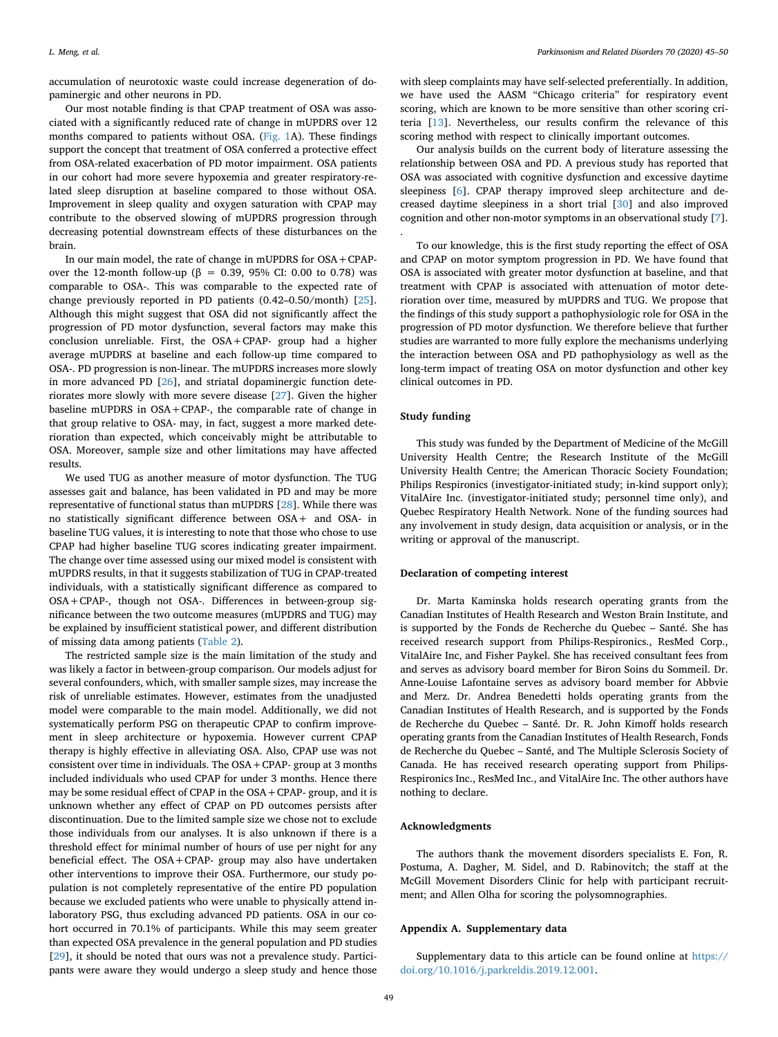accumulation of neurotoxic waste could increase degeneration of dopaminergic and other neurons in PD.

Our most notable finding is that CPAP treatment of OSA was associated with a significantly reduced rate of change in mUPDRS over 12 months compared to patients without OSA. ([Fig. 1A](#page-3-0)). These findings support the concept that treatment of OSA conferred a protective effect from OSA-related exacerbation of PD motor impairment. OSA patients in our cohort had more severe hypoxemia and greater respiratory-related sleep disruption at baseline compared to those without OSA. Improvement in sleep quality and oxygen saturation with CPAP may contribute to the observed slowing of mUPDRS progression through decreasing potential downstream effects of these disturbances on the brain.

In our main model, the rate of change in mUPDRS for OSA+CPAPover the 12-month follow-up (β = 0.39, 95% CI: 0.00 to 0.78) was comparable to OSA-. This was comparable to the expected rate of change previously reported in PD patients (0.42–0.50/month) [\[25](#page-5-24)]. Although this might suggest that OSA did not significantly affect the progression of PD motor dysfunction, several factors may make this conclusion unreliable. First, the OSA+CPAP- group had a higher average mUPDRS at baseline and each follow-up time compared to OSA-. PD progression is non-linear. The mUPDRS increases more slowly in more advanced PD [[26\]](#page-5-25), and striatal dopaminergic function deteriorates more slowly with more severe disease [[27\]](#page-5-26). Given the higher baseline mUPDRS in OSA+CPAP-, the comparable rate of change in that group relative to OSA- may, in fact, suggest a more marked deterioration than expected, which conceivably might be attributable to OSA. Moreover, sample size and other limitations may have affected results.

We used TUG as another measure of motor dysfunction. The TUG assesses gait and balance, has been validated in PD and may be more representative of functional status than mUPDRS [\[28](#page-5-27)]. While there was no statistically significant difference between OSA+ and OSA- in baseline TUG values, it is interesting to note that those who chose to use CPAP had higher baseline TUG scores indicating greater impairment. The change over time assessed using our mixed model is consistent with mUPDRS results, in that it suggests stabilization of TUG in CPAP-treated individuals, with a statistically significant difference as compared to OSA+CPAP-, though not OSA-. Differences in between-group significance between the two outcome measures (mUPDRS and TUG) may be explained by insufficient statistical power, and different distribution of missing data among patients ([Table 2](#page-3-1)).

The restricted sample size is the main limitation of the study and was likely a factor in between-group comparison. Our models adjust for several confounders, which, with smaller sample sizes, may increase the risk of unreliable estimates. However, estimates from the unadjusted model were comparable to the main model. Additionally, we did not systematically perform PSG on therapeutic CPAP to confirm improvement in sleep architecture or hypoxemia. However current CPAP therapy is highly effective in alleviating OSA. Also, CPAP use was not consistent over time in individuals. The OSA+CPAP- group at 3 months included individuals who used CPAP for under 3 months. Hence there may be some residual effect of CPAP in the OSA+CPAP- group, and it is unknown whether any effect of CPAP on PD outcomes persists after discontinuation. Due to the limited sample size we chose not to exclude those individuals from our analyses. It is also unknown if there is a threshold effect for minimal number of hours of use per night for any beneficial effect. The OSA+CPAP- group may also have undertaken other interventions to improve their OSA. Furthermore, our study population is not completely representative of the entire PD population because we excluded patients who were unable to physically attend inlaboratory PSG, thus excluding advanced PD patients. OSA in our cohort occurred in 70.1% of participants. While this may seem greater than expected OSA prevalence in the general population and PD studies [[29\]](#page-5-28), it should be noted that ours was not a prevalence study. Participants were aware they would undergo a sleep study and hence those with sleep complaints may have self-selected preferentially. In addition, we have used the AASM "Chicago criteria" for respiratory event scoring, which are known to be more sensitive than other scoring criteria [[13\]](#page-5-12). Nevertheless, our results confirm the relevance of this scoring method with respect to clinically important outcomes.

Our analysis builds on the current body of literature assessing the relationship between OSA and PD. A previous study has reported that OSA was associated with cognitive dysfunction and excessive daytime sleepiness [[6](#page-5-5)]. CPAP therapy improved sleep architecture and decreased daytime sleepiness in a short trial [\[30](#page-5-29)] and also improved cognition and other non-motor symptoms in an observational study [[7](#page-5-6)].

To our knowledge, this is the first study reporting the effect of OSA and CPAP on motor symptom progression in PD. We have found that OSA is associated with greater motor dysfunction at baseline, and that treatment with CPAP is associated with attenuation of motor deterioration over time, measured by mUPDRS and TUG. We propose that the findings of this study support a pathophysiologic role for OSA in the progression of PD motor dysfunction. We therefore believe that further studies are warranted to more fully explore the mechanisms underlying the interaction between OSA and PD pathophysiology as well as the long-term impact of treating OSA on motor dysfunction and other key clinical outcomes in PD.

# **Study funding**

.

This study was funded by the Department of Medicine of the McGill University Health Centre; the Research Institute of the McGill University Health Centre; the American Thoracic Society Foundation; Philips Respironics (investigator-initiated study; in-kind support only); VitalAire Inc. (investigator-initiated study; personnel time only), and Quebec Respiratory Health Network. None of the funding sources had any involvement in study design, data acquisition or analysis, or in the writing or approval of the manuscript.

# **Declaration of competing interest**

Dr. Marta Kaminska holds research operating grants from the Canadian Institutes of Health Research and Weston Brain Institute, and is supported by the Fonds de Recherche du Quebec – Santé. She has received research support from Philips-Respironics., ResMed Corp., VitalAire Inc, and Fisher Paykel. She has received consultant fees from and serves as advisory board member for Biron Soins du Sommeil. Dr. Anne-Louise Lafontaine serves as advisory board member for Abbvie and Merz. Dr. Andrea Benedetti holds operating grants from the Canadian Institutes of Health Research, and is supported by the Fonds de Recherche du Quebec – Santé. Dr. R. John Kimoff holds research operating grants from the Canadian Institutes of Health Research, Fonds de Recherche du Quebec – Santé, and The Multiple Sclerosis Society of Canada. He has received research operating support from Philips-Respironics Inc., ResMed Inc., and VitalAire Inc. The other authors have nothing to declare.

# **Acknowledgments**

The authors thank the movement disorders specialists E. Fon, R. Postuma, A. Dagher, M. Sidel, and D. Rabinovitch; the staff at the McGill Movement Disorders Clinic for help with participant recruitment; and Allen Olha for scoring the polysomnographies.

### **Appendix A. Supplementary data**

Supplementary data to this article can be found online at [https://](https://doi.org/10.1016/j.parkreldis.2019.12.001) [doi.org/10.1016/j.parkreldis.2019.12.001.](https://doi.org/10.1016/j.parkreldis.2019.12.001)